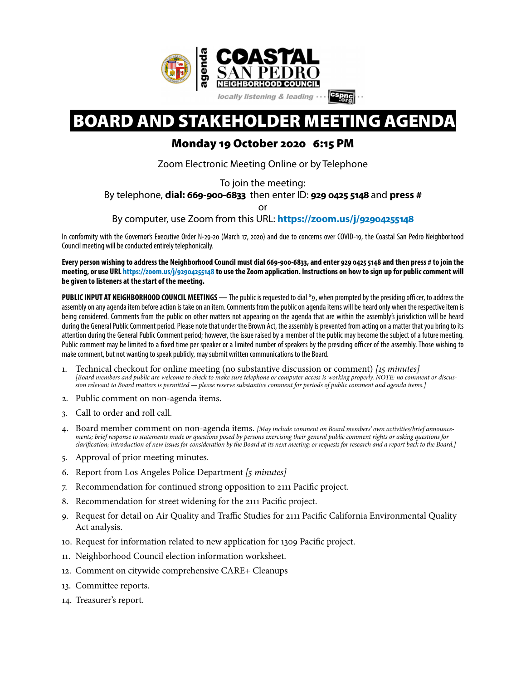

# BOARD AND STAKEHOLDER MEETING AGENDA

## Monday 19 October 2020 6:15 PM

Zoom Electronic Meeting Online or by Telephone

To join the meeting:

By telephone, **dial: 669-900-6833** then enter ID: **929 0425 5148** and **press #**

or

By computer, use Zoom from this URL: **[https://zoom.us/j/](https://zoom.us/j/92904255148)92904255148**

In conformity with the Governor's Executive Order N-29-20 (March 17, 2020) and due to concerns over COVID-19, the Coastal San Pedro Neighborhood Council meeting will be conducted entirely telephonically.

**Every person wishing to address the Neighborhood Council must dial 669-900-6833, and enter 929 04255148 and then press # to join the meeting, or use URL [https://zoom.us/j/](https://zoom.us/j/92904255148)92904255148 to use the Zoom application. Instructions on how to sign up for public comment will be given to listeners at the start of the meeting.** 

PUBLIC INPUT AT NEIGHBORHOOD COUNCIL MEETINGS - The public is requested to dial \*9, when prompted by the presiding officer, to address the assembly on any agenda item before action is take on an item. Comments from the public on agenda items will be heard only when the respective item is being considered. Comments from the public on other matters not appearing on the agenda that are within the assembly's jurisdiction will be heard during the General Public Comment period. Please note that under the Brown Act, the assembly is prevented from acting on a matter that you bring to its attention during the General Public Comment period; however, the issue raised by a member of the public may become the subject of a future meeting. Public comment may be limited to a fxed time per speaker or a limited number of speakers by the presiding officer of the assembly. Those wishing to make comment, but not wanting to speak publicly, may submit written communications to the Board.

- 1. Technical checkout for online meeting (no substantive discussion or comment) *[*15 *minutes] [Board members and public are welcome to check to make sure telephone or computer access is working properly. NOTE: no comment or discussion relevant to Board matters is permitted — please reserve substantive comment for periods of public comment and agenda items.]*
- 2. Public comment on non-agenda items.
- 3. Call to order and roll call.
- 4. Board member comment on non-agenda items. *[May include comment on Board members' own activities/brief announcements; brief response to statements made or questions posed by persons exercising their general public comment rights or asking questions for clari*f*cation; introduction of new issues for consideration by the Board at its next meeting; or requests for research and a report back to the Board.]*
- 5. Approval of prior meeting minutes.
- 6. Report from Los Angeles Police Department *[*5 *minutes]*
- 7. Recommendation for continued strong opposition to 2111 Pacifc project.
- 8. Recommendation for street widening for the 2111 Pacifc project.
- 9. Request for detail on Air Quality and Traffic Studies for 2111 Pacifc California Environmental Quality Act analysis.
- 10. Request for information related to new application for 1309 Pacifc project.
- 11. Neighborhood Council election information worksheet.
- 12. Comment on citywide comprehensive CARE+ Cleanups
- 13. Committee reports.
- 14. Treasurer's report.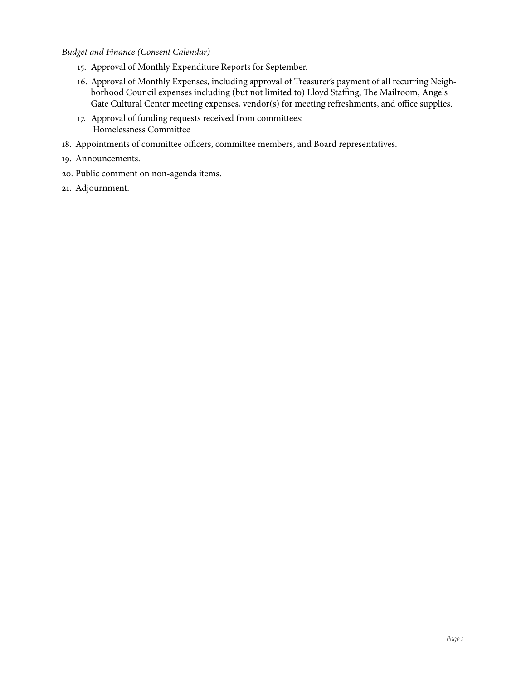### *Budget and Finance (Consent Calendar)*

- 15. Approval of Monthly Expenditure Reports for September.
- 16. Approval of Monthly Expenses, including approval of Treasurer's payment of all recurring Neighborhood Council expenses including (but not limited to) Lloyd Staffing, The Mailroom, Angels Gate Cultural Center meeting expenses, vendor(s) for meeting refreshments, and office supplies.
- 17. Approval of funding requests received from committees: Homelessness Committee
- 18. Appointments of committee officers, committee members, and Board representatives.
- 19. Announcements.
- 20. Public comment on non-agenda items.
- 21. Adjournment.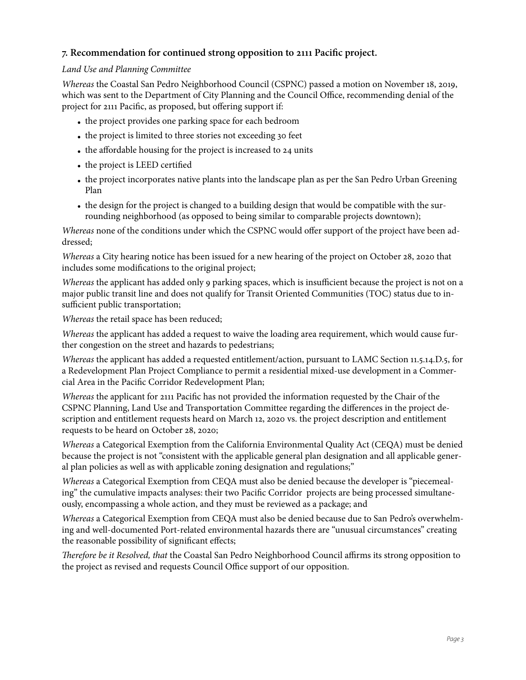## **7. Recommendation for continued strong opposition to 2111 Pacifc project.**

### *Land Use and Planning Committee*

*Whereas* the Coastal San Pedro Neighborhood Council (CSPNC) passed a motion on November 18, 2019, which was sent to the Department of City Planning and the Council Office, recommending denial of the project for 2111 Pacifc, as proposed, but offering support if:

- the project provides one parking space for each bedroom
- the project is limited to three stories not exceeding 30 feet
- the affordable housing for the project is increased to 24 units
- the project is LEED certifed
- the project incorporates native plants into the landscape plan as per the San Pedro Urban Greening Plan
- the design for the project is changed to a building design that would be compatible with the surrounding neighborhood (as opposed to being similar to comparable projects downtown);

*Whereas* none of the conditions under which the CSPNC would offer support of the project have been addressed;

*Whereas* a City hearing notice has been issued for a new hearing of the project on October 28, 2020 that includes some modifcations to the original project;

*Whereas* the applicant has added only 9 parking spaces, which is insufficient because the project is not on a major public transit line and does not qualify for Transit Oriented Communities (TOC) status due to insufficient public transportation;

*Whereas* the retail space has been reduced;

*Whereas* the applicant has added a request to waive the loading area requirement, which would cause further congestion on the street and hazards to pedestrians;

*Whereas* the applicant has added a requested entitlement/action, pursuant to LAMC Section 11.5.14.D.5, for a Redevelopment Plan Project Compliance to permit a residential mixed-use development in a Commercial Area in the Pacifc Corridor Redevelopment Plan;

*Whereas* the applicant for 2111 Pacifc has not provided the information requested by the Chair of the CSPNC Planning, Land Use and Transportation Committee regarding the differences in the project description and entitlement requests heard on March 12, 2020 vs. the project description and entitlement requests to be heard on October 28, 2020;

*Whereas* a Categorical Exemption from the California Environmental Quality Act (CEQA) must be denied because the project is not "consistent with the applicable general plan designation and all applicable general plan policies as well as with applicable zoning designation and regulations;"

*Whereas* a Categorical Exemption from CEQA must also be denied because the developer is "piecemealing" the cumulative impacts analyses: their two Pacifc Corridor projects are being processed simultaneously, encompassing a whole action, and they must be reviewed as a package; and

*Whereas* a Categorical Exemption from CEQA must also be denied because due to San Pedro's overwhelming and well-documented Port-related environmental hazards there are "unusual circumstances" creating the reasonable possibility of signifcant effects;

T*erefore be it Resolved, that* the Coastal San Pedro Neighborhood Council affirms its strong opposition to the project as revised and requests Council Office support of our opposition.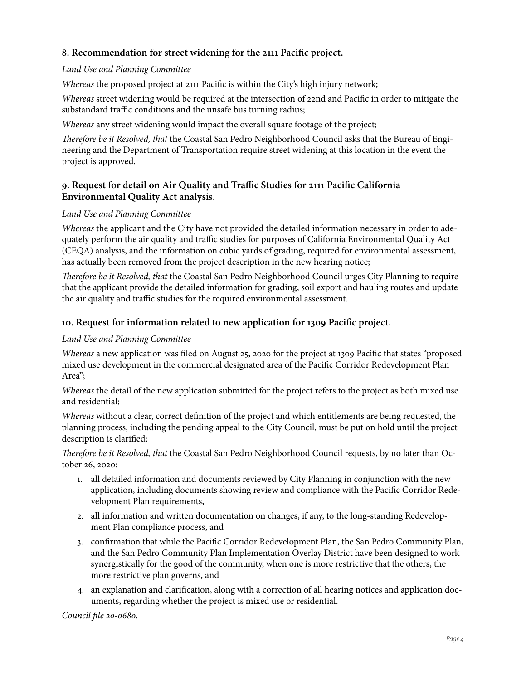## **8. Recommendation for street widening for the 2111 Pacifc project.**

### *Land Use and Planning Committee*

*Whereas* the proposed project at 2111 Pacifc is within the City's high injury network;

*Whereas* street widening would be required at the intersection of 22nd and Pacifc in order to mitigate the substandard traffic conditions and the unsafe bus turning radius;

*Whereas* any street widening would impact the overall square footage of the project;

T*erefore be it Resolved, that* the Coastal San Pedro Neighborhood Council asks that the Bureau of Engineering and the Department of Transportation require street widening at this location in the event the project is approved.

## **9. Request for detail on Air Quality and Traffic Studies for 2111 Pacifc California Environmental Quality Act analysis.**

## *Land Use and Planning Committee*

*Whereas* the applicant and the City have not provided the detailed information necessary in order to adequately perform the air quality and traffic studies for purposes of California Environmental Quality Act (CEQA) analysis, and the information on cubic yards of grading, required for environmental assessment, has actually been removed from the project description in the new hearing notice;

T*erefore be it Resolved, that* the Coastal San Pedro Neighborhood Council urges City Planning to require that the applicant provide the detailed information for grading, soil export and hauling routes and update the air quality and traffic studies for the required environmental assessment.

## **10. Request for information related to new application for 1309 Pacifc project.**

## *Land Use and Planning Committee*

*Whereas* a new application was fled on August 25, 2020 for the project at 1309 Pacifc that states "proposed mixed use development in the commercial designated area of the Pacifc Corridor Redevelopment Plan Area";

*Whereas* the detail of the new application submitted for the project refers to the project as both mixed use and residential;

*Whereas* without a clear, correct defnition of the project and which entitlements are being requested, the planning process, including the pending appeal to the City Council, must be put on hold until the project description is clarifed;

T*erefore be it Resolved, that* the Coastal San Pedro Neighborhood Council requests, by no later than October 26, 2020:

- 1. all detailed information and documents reviewed by City Planning in conjunction with the new application, including documents showing review and compliance with the Pacifc Corridor Redevelopment Plan requirements,
- 2. all information and written documentation on changes, if any, to the long-standing Redevelopment Plan compliance process, and
- 3. confrmation that while the Pacifc Corridor Redevelopment Plan, the San Pedro Community Plan, and the San Pedro Community Plan Implementation Overlay District have been designed to work synergistically for the good of the community, when one is more restrictive that the others, the more restrictive plan governs, and
- 4. an explanation and clarifcation, along with a correction of all hearing notices and application documents, regarding whether the project is mixed use or residential.

*Council* f*le* 20*-*0680*.*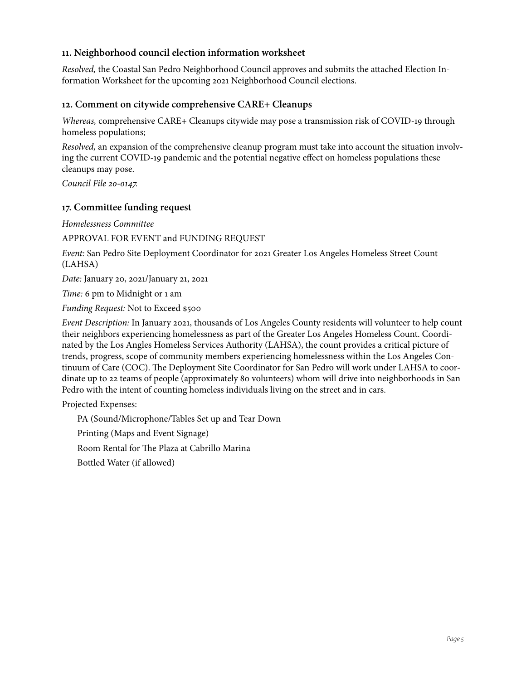## **11. Neighborhood council election information worksheet**

*Resolved,* the Coastal San Pedro Neighborhood Council approves and submits the attached Election Information Worksheet for the upcoming 2021 Neighborhood Council elections.

#### **12. Comment on citywide comprehensive CARE+ Cleanups**

*Whereas,* comprehensive CARE+ Cleanups citywide may pose a transmission risk of COVID-19 through homeless populations;

*Resolved,* an expansion of the comprehensive cleanup program must take into account the situation involving the current COVID-19 pandemic and the potential negative effect on homeless populations these cleanups may pose.

*Council File* 20*-*0147*.* 

### **17. Committee funding request**

*Homelessness Committee* 

APPROVAL FOR EVENT and FUNDING REQUEST

*Event:* San Pedro Site Deployment Coordinator for 2021 Greater Los Angeles Homeless Street Count (LAHSA)

*Date:* January 20, 2021/January 21, 2021

*Time:* 6 pm to Midnight or 1 am

*Funding Request:* Not to Exceed \$500

*Event Description:* In January 2021, thousands of Los Angeles County residents will volunteer to help count their neighbors experiencing homelessness as part of the Greater Los Angeles Homeless Count. Coordinated by the Los Angles Homeless Services Authority (LAHSA), the count provides a critical picture of trends, progress, scope of community members experiencing homelessness within the Los Angeles Continuum of Care (COC). The Deployment Site Coordinator for San Pedro will work under LAHSA to coordinate up to 22 teams of people (approximately 80 volunteers) whom will drive into neighborhoods in San Pedro with the intent of counting homeless individuals living on the street and in cars.

Projected Expenses:

PA (Sound/Microphone/Tables Set up and Tear Down Printing (Maps and Event Signage) Room Rental for The Plaza at Cabrillo Marina Bottled Water (if allowed)